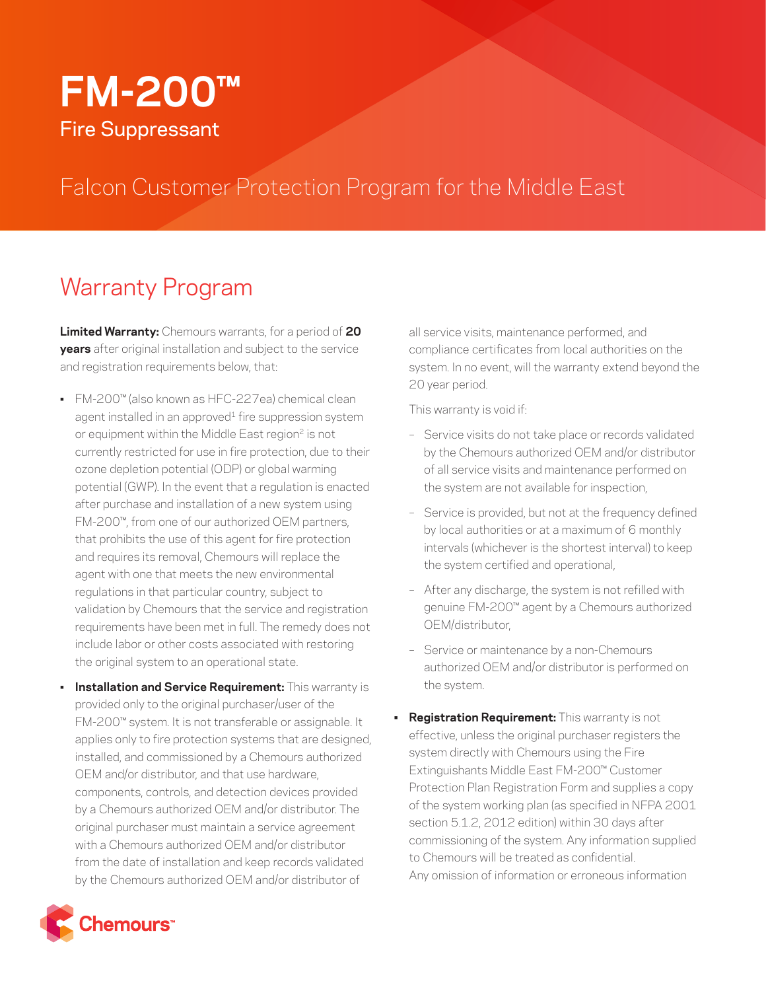# **FM-200™** Fire Suppressant

### Falcon Customer Protection Program for the Middle East

## Warranty Program

**Limited Warranty:** Chemours warrants, for a period of **20 years** after original installation and subject to the service and registration requirements below, that:

- FM-200™ (also known as HFC-227ea) chemical clean agent installed in an approved $1$  fire suppression system or equipment within the Middle East region<sup>2</sup> is not currently restricted for use in fire protection, due to their ozone depletion potential (ODP) or global warming potential (GWP). In the event that a regulation is enacted after purchase and installation of a new system using FM-200™, from one of our authorized OEM partners, that prohibits the use of this agent for fire protection and requires its removal, Chemours will replace the agent with one that meets the new environmental regulations in that particular country, subject to validation by Chemours that the service and registration requirements have been met in full. The remedy does not include labor or other costs associated with restoring the original system to an operational state.
- **Installation and Service Requirement:** This warranty is provided only to the original purchaser/user of the FM-200™ system. It is not transferable or assignable. It applies only to fire protection systems that are designed, installed, and commissioned by a Chemours authorized OEM and/or distributor, and that use hardware, components, controls, and detection devices provided by a Chemours authorized OEM and/or distributor. The original purchaser must maintain a service agreement with a Chemours authorized OEM and/or distributor from the date of installation and keep records validated by the Chemours authorized OEM and/or distributor of



This warranty is void if:

- Service visits do not take place or records validated by the Chemours authorized OEM and/or distributor of all service visits and maintenance performed on the system are not available for inspection,
- Service is provided, but not at the frequency defined by local authorities or at a maximum of 6 monthly intervals (whichever is the shortest interval) to keep the system certified and operational,
- After any discharge, the system is not refilled with genuine FM-200™ agent by a Chemours authorized OEM/distributor,
- Service or maintenance by a non-Chemours authorized OEM and/or distributor is performed on the system.
- **Registration Requirement:** This warranty is not effective, unless the original purchaser registers the system directly with Chemours using the Fire Extinguishants Middle East FM-200™ Customer Protection Plan Registration Form and supplies a copy of the system working plan (as specified in NFPA 2001 section 5.1.2, 2012 edition) within 30 days after commissioning of the system. Any information supplied to Chemours will be treated as confidential. Any omission of information or erroneous information